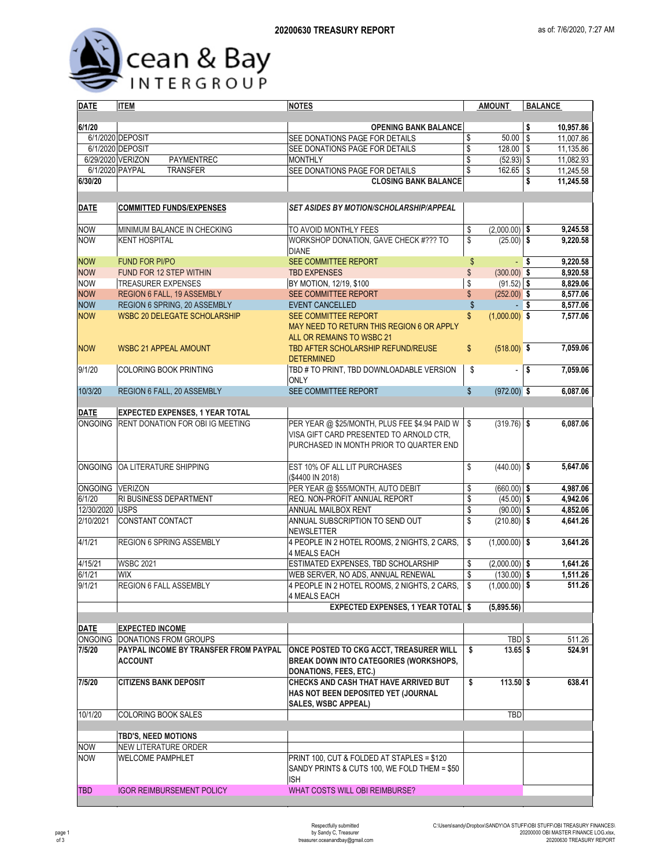

| <b>DATE</b>      | <b>ITEM</b><br><b>NOTES</b>             |                                                                                    | <b>AMOUNT</b>                                | <b>BALANCE</b>         |  |  |  |
|------------------|-----------------------------------------|------------------------------------------------------------------------------------|----------------------------------------------|------------------------|--|--|--|
|                  |                                         |                                                                                    |                                              |                        |  |  |  |
| 6/1/20           |                                         | <b>OPENING BANK BALANCE</b>                                                        |                                              | \$<br>10,957.86        |  |  |  |
|                  | 6/1/2020 DEPOSIT                        | SEE DONATIONS PAGE FOR DETAILS                                                     | \$<br>$50.00$ \\$                            | 11,007.86              |  |  |  |
|                  | 6/1/2020 DEPOSIT                        | SEE DONATIONS PAGE FOR DETAILS                                                     | \$<br>$128.00$ \\$                           | 11,135.86              |  |  |  |
|                  | 6/29/2020 VERIZON<br>PAYMENTREC         | <b>MONTHLY</b>                                                                     | \$<br>$(52.93)$ \$                           | 11,082.93              |  |  |  |
| 6/1/2020 PAYPAL  | TRANSFER                                | SEE DONATIONS PAGE FOR DETAILS                                                     | \$<br>$162.65$ \ \$                          | 11,245.58              |  |  |  |
| 6/30/20          |                                         | <b>CLOSING BANK BALANCE</b>                                                        |                                              | 11,245.58<br>\$        |  |  |  |
|                  |                                         |                                                                                    |                                              |                        |  |  |  |
| DATE             | <b>COMMITTED FUNDS/EXPENSES</b>         | <b>SET ASIDES BY MOTION/SCHOLARSHIP/APPEAL</b>                                     |                                              |                        |  |  |  |
|                  |                                         |                                                                                    |                                              |                        |  |  |  |
| <b>NOW</b>       | MINIMUM BALANCE IN CHECKING             | TO AVOID MONTHLY FEES                                                              | \$<br>$(2,000.00)$ \$                        | 9,245.58               |  |  |  |
| <b>NOW</b>       | <b>KENT HOSPITAL</b>                    | WORKSHOP DONATION, GAVE CHECK #??? TO                                              | \$<br>$(25.00)$ \$                           | 9,220.58               |  |  |  |
|                  |                                         | <b>DIANE</b>                                                                       |                                              |                        |  |  |  |
| <b>NOW</b>       | <b>FUND FOR PI/PO</b>                   | SEE COMMITTEE REPORT                                                               | $\frac{1}{2}$                                | 9,220.58<br>$-$ \$     |  |  |  |
| <b>NOW</b>       | FUND FOR 12 STEP WITHIN                 | <b>TBD EXPENSES</b>                                                                | \$<br>$(300.00)$ \$                          | 8,920.58               |  |  |  |
| <b>NOW</b>       | <b>TREASURER EXPENSES</b>               | BY MOTION, 12/19, \$100                                                            | \$<br>$(91.52)$ \$                           | 8,829.06               |  |  |  |
| <b>NOW</b>       | <b>REGION 6 FALL, 19 ASSEMBLY</b>       | SEE COMMITTEE REPORT                                                               | \$<br>$(252.00)$ \$                          | 8,577.06               |  |  |  |
| <b>NOW</b>       | REGION 6 SPRING, 20 ASSEMBLY            | <b>EVENT CANCELLED</b>                                                             | $\boldsymbol{\mathsf{S}}$                    | 8,577.06<br>-\$        |  |  |  |
| <b>NOW</b>       | <b>WSBC 20 DELEGATE SCHOLARSHIP</b>     | <b>SEE COMMITTEE REPORT</b>                                                        | \$<br>$(1,000.00)$ \$                        | 7,577.06               |  |  |  |
|                  |                                         | MAY NEED TO RETURN THIS REGION 6 OR APPLY<br>ALL OR REMAINS TO WSBC 21             |                                              |                        |  |  |  |
|                  |                                         | TBD AFTER SCHOLARSHIP REFUND/REUSE                                                 | \$<br>$(518.00)$ \$                          | 7,059.06               |  |  |  |
| <b>NOW</b>       | <b>WSBC 21 APPEAL AMOUNT</b>            | <b>DETERMINED</b>                                                                  |                                              |                        |  |  |  |
| 9/1/20           | <b>COLORING BOOK PRINTING</b>           | TBD # TO PRINT, TBD DOWNLOADABLE VERSION                                           | \$<br>$\overline{\phantom{a}}$               | $\vert$ \$<br>7,059.06 |  |  |  |
|                  |                                         | <b>ONLY</b>                                                                        |                                              |                        |  |  |  |
| 10/3/20          | REGION 6 FALL, 20 ASSEMBLY              | SEE COMMITTEE REPORT                                                               | \$<br>$(972.00)$ \$                          | 6,087.06               |  |  |  |
|                  |                                         |                                                                                    |                                              |                        |  |  |  |
| <b>DATE</b>      | <b>EXPECTED EXPENSES, 1 YEAR TOTAL</b>  |                                                                                    |                                              |                        |  |  |  |
| <b>ONGOING</b>   | <b>RENT DONATION FOR OBI IG MEETING</b> | PER YEAR @ \$25/MONTH, PLUS FEE \$4.94 PAID W                                      | $(319.76)$ \$<br>S.                          | 6,087.06               |  |  |  |
|                  |                                         | VISA GIFT CARD PRESENTED TO ARNOLD CTR.                                            |                                              |                        |  |  |  |
|                  |                                         | PURCHASED IN MONTH PRIOR TO QUARTER END                                            |                                              |                        |  |  |  |
|                  |                                         |                                                                                    |                                              |                        |  |  |  |
|                  | ONGOING OA LITERATURE SHIPPING          | EST 10% OF ALL LIT PURCHASES                                                       | \$<br>$(440.00)$ \$                          | 5,647.06               |  |  |  |
|                  |                                         | (\$4400 IN 2018)                                                                   |                                              |                        |  |  |  |
| ONGOING VERIZON  |                                         | PER YEAR @ \$55/MONTH, AUTO DEBIT                                                  | \$<br>$(660.00)$ \$                          | 4,987.06               |  |  |  |
| 6/1/20           | <b>RI BUSINESS DEPARTMENT</b>           | REQ. NON-PROFIT ANNUAL REPORT                                                      | \$<br>$(45.00)$ \$                           | 4,942.06               |  |  |  |
| 12/30/2020 USPS  |                                         | ANNUAL MAILBOX RENT                                                                | \$<br>$(90.00)$ \$                           | 4,852.06               |  |  |  |
| 2/10/2021        | CONSTANT CONTACT                        | ANNUAL SUBSCRIPTION TO SEND OUT                                                    | \$<br>$(210.80)$ \$                          | 4,641.26               |  |  |  |
|                  |                                         | <b>NEWSLETTER</b>                                                                  |                                              |                        |  |  |  |
| 4/1/21           | REGION 6 SPRING ASSEMBLY                | 4 PEOPLE IN 2 HOTEL ROOMS, 2 NIGHTS, 2 CARS,                                       | \$<br>$(1,000.00)$ \$                        | 3,641.26               |  |  |  |
|                  |                                         | <b>4 MEALS EACH</b>                                                                |                                              |                        |  |  |  |
| 4/15/21          | <b>WSBC 2021</b>                        | ESTIMATED EXPENSES, TBD SCHOLARSHIP                                                | \$<br>$(2,000.00)$ \$                        | 1,641.26               |  |  |  |
| 6/1/21<br>9/1/21 | <b>WIX</b><br>REGION 6 FALL ASSEMBLY    | WEB SERVER, NO ADS, ANNUAL RENEWAL<br>4 PEOPLE IN 2 HOTEL ROOMS, 2 NIGHTS, 2 CARS, | \$<br>$(130.00)$ \$<br>\$<br>$(1,000.00)$ \$ | 1,511.26<br>511.26     |  |  |  |
|                  |                                         | 4 MEALS EACH                                                                       |                                              |                        |  |  |  |
|                  |                                         | <b>EXPECTED EXPENSES, 1 YEAR TOTAL \$</b>                                          | (5,895.56)                                   |                        |  |  |  |
|                  |                                         |                                                                                    |                                              |                        |  |  |  |
| <b>DATE</b>      | <b>EXPECTED INCOME</b>                  |                                                                                    |                                              |                        |  |  |  |
| <b>ONGOING</b>   | <b>DONATIONS FROM GROUPS</b>            |                                                                                    | TBD \$                                       | 511.26                 |  |  |  |
| 7/5/20           | PAYPAL INCOME BY TRANSFER FROM PAYPAL   | ONCE POSTED TO CKG ACCT, TREASURER WILL                                            | \$<br>$13.65$ \$                             | 524.91                 |  |  |  |
|                  | <b>ACCOUNT</b>                          | <b>BREAK DOWN INTO CATEGORIES (WORKSHOPS,</b>                                      |                                              |                        |  |  |  |
|                  |                                         | <b>DONATIONS, FEES, ETC.)</b>                                                      |                                              |                        |  |  |  |
| 7/5/20           | <b>CITIZENS BANK DEPOSIT</b>            | CHECKS AND CASH THAT HAVE ARRIVED BUT                                              | \$<br>$113.50$ \$                            | 638.41                 |  |  |  |
|                  |                                         | HAS NOT BEEN DEPOSITED YET (JOURNAL                                                |                                              |                        |  |  |  |
|                  |                                         | SALES, WSBC APPEAL)                                                                |                                              |                        |  |  |  |
| 10/1/20          | <b>COLORING BOOK SALES</b>              |                                                                                    | TBD                                          |                        |  |  |  |
|                  |                                         |                                                                                    |                                              |                        |  |  |  |
|                  | <b>TBD'S, NEED MOTIONS</b>              |                                                                                    |                                              |                        |  |  |  |
| <b>NOW</b>       | NEW LITERATURE ORDER                    |                                                                                    |                                              |                        |  |  |  |
| <b>NOW</b>       | <b>WELCOME PAMPHLET</b>                 | PRINT 100, CUT & FOLDED AT STAPLES = \$120                                         |                                              |                        |  |  |  |
|                  |                                         | SANDY PRINTS & CUTS 100, WE FOLD THEM = \$50                                       |                                              |                        |  |  |  |
|                  |                                         | <b>ISH</b>                                                                         |                                              |                        |  |  |  |
| TBD.             | <b>IGOR REIMBURSEMENT POLICY</b>        | WHAT COSTS WILL OBI REIMBURSE?                                                     |                                              |                        |  |  |  |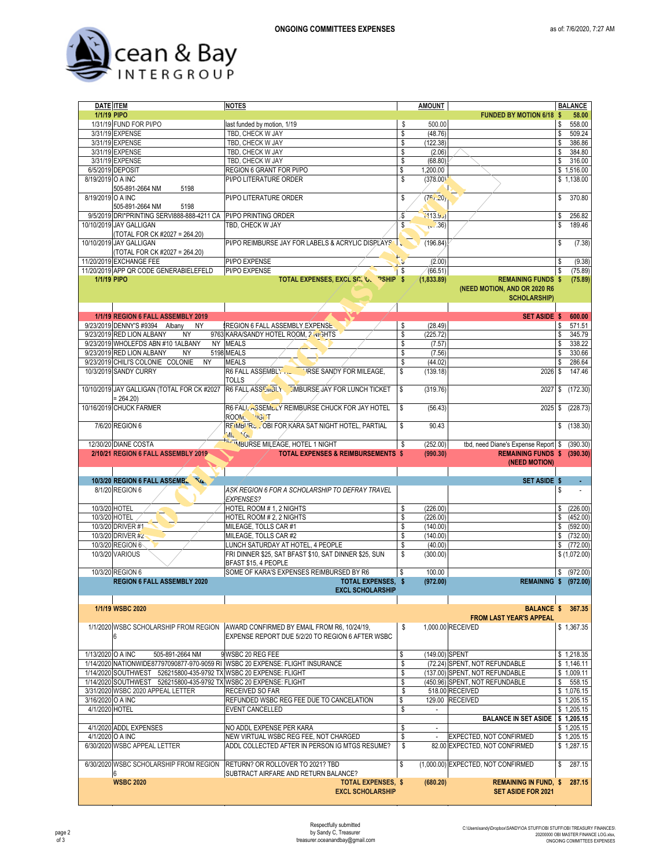

| <b>DATE ITEM</b>  |                                                                   | <b>NOTES</b>                                                                  | <b>AMOUNT</b>        |                                                           |               | <b>BALANCE</b>           |
|-------------------|-------------------------------------------------------------------|-------------------------------------------------------------------------------|----------------------|-----------------------------------------------------------|---------------|--------------------------|
| 1/1/19 PIPO       |                                                                   |                                                                               |                      | <b>FUNDED BY MOTION 6/18</b>                              | -S            | 58.00                    |
|                   | 1/31/19 FUND FOR PI/PO                                            | last funded by motion, 1/19                                                   | \$<br>500.00         |                                                           | \$            | 558.00                   |
|                   | 3/31/19 EXPENSE                                                   | TBD, CHECK W JAY                                                              | \$<br>(48.76)        |                                                           | \$            | 509.24                   |
|                   | 3/31/19 EXPENSE                                                   | TBD, CHECK W JAY                                                              | \$<br>(122.38)       |                                                           | \$            | 386.86                   |
|                   | 3/31/19 EXPENSE                                                   | TBD, CHECK W JAY                                                              | \$<br>(2.06)         |                                                           | \$            | 384.80                   |
|                   | 3/31/19 EXPENSE                                                   | TBD, CHECK W JAY                                                              | \$<br>(68.80)        |                                                           | \$            | 316.00                   |
|                   | 6/5/2019 DEPOSIT                                                  | REGION 6 GRANT FOR PI/PO                                                      | \$<br>1,200.00       |                                                           |               | \$1,516.00               |
| 8/19/2019 O A INC |                                                                   | PI/PO LITERATURE ORDER                                                        | \$<br>(378.00)       |                                                           |               | \$1,138.00               |
|                   | 505-891-2664 NM<br>5198                                           |                                                                               |                      |                                                           |               |                          |
| 8/19/2019 O A INC |                                                                   | PI/PO LITERATURE ORDER                                                        | \$<br>(76, 20)       |                                                           | \$            | 370.80                   |
|                   | 505-891-2664 NM<br>5198                                           |                                                                               |                      |                                                           |               |                          |
|                   | 9/5/2019 DRI*PRINTING SERVI888-888-4211 CA                        | PI/PO PRINTING ORDER                                                          | \$<br>(113.9)        |                                                           | \$            | 256.82                   |
|                   | 10/10/2019 JAY GALLIGAN                                           | TBD. CHECK W JAY                                                              | \$<br>(v.36)         |                                                           | $\mathsf{\$}$ | 189.46                   |
|                   | (TOTAL FOR CK #2027 = 264.20)                                     |                                                                               |                      |                                                           |               |                          |
|                   | 10/10/2019 JAY GALLIGAN                                           | PI/PO REIMBURSE JAY FOR LABELS & ACRYLIC DISPLAYS                             | (196.84)             |                                                           | \$            | (7.38)                   |
|                   | (TOTAL FOR CK #2027 = 264.20)                                     |                                                                               |                      |                                                           |               |                          |
|                   | 11/20/2019 EXCHANGE FEE                                           | PI/PO EXPENSE                                                                 | (2.00)               |                                                           | \$            | (9.38)                   |
|                   | 11/20/2019 APP QR CODE GENERABIELEFELD                            | PI/PO EXPENSE                                                                 | \$<br>(66.51)        |                                                           | \$            | (75.89)                  |
| 1/1/19 PIPO       |                                                                   | TOTAL EXPENSES, EXCL SC. 'O. PSHIP \$                                         | (1,833.89)           | <b>REMAINING FUNDS \$</b>                                 |               | (75.89)                  |
|                   |                                                                   |                                                                               |                      | (NEED MOTION, AND OR 2020 R6                              |               |                          |
|                   |                                                                   |                                                                               |                      | <b>SCHOLARSHIP)</b>                                       |               |                          |
|                   |                                                                   |                                                                               |                      |                                                           |               |                          |
|                   | 1/1/19 REGION 6 FALL ASSEMBLY 2019                                |                                                                               |                      | <b>SET ASIDE \$</b>                                       |               | 600.00                   |
|                   | 9/23/2019 DENNY'S #9394 Albany<br><b>NY</b>                       | REGION 6 FALL ASSEMBLY EXPENSE                                                | \$<br>(28.49)        |                                                           | \$            | 571.51                   |
|                   | 9/23/2019 RED LION ALBANY<br><b>NY</b>                            | 9763 KARA/SANDY HOTEL ROOM, 2 NI GHTS                                         | \$<br>(225.72)       |                                                           | \$            | 345.79                   |
|                   | 9/23/2019 WHOLEFDS ABN #10 1ALBANY                                | NY MEALS                                                                      | \$<br>(7.57)         |                                                           | \$            | 338.22                   |
|                   | 9/23/2019 RED LION ALBANY<br><b>NY</b>                            | 5198 MEALS                                                                    | \$<br>(7.56)         |                                                           | \$            | 330.66                   |
|                   | 9/23/2019 CHILI'S COLONIE COLONIE<br><b>NY</b>                    | <b>MEALS</b>                                                                  | \$<br>(44.02)        |                                                           | \$            | 286.64                   |
|                   | 10/3/2019 SANDY CURRY                                             | R6 FALL ASSEMBLY<br>IRSE SANDY FOR MILEAGE,                                   | (139.18)             | 2026                                                      | \$            | 147.46                   |
|                   |                                                                   | <b>TOLLS</b>                                                                  |                      |                                                           |               |                          |
|                   | 10/10/2019 JAY GALLIGAN (TOTAL FOR CK #2027                       | R6 FALL ASSEMBLY . IMBURSE JAY FOR LUNCH TICKET                               | \$<br>(319.76)       | 2027                                                      | \$            | (172.30)                 |
|                   | $= 264.20$                                                        |                                                                               |                      |                                                           |               |                          |
|                   | 10/16/2019 CHUCK FARMER                                           | R6 FALL ASSEMBLY REIMBURSE CHUCK FOR JAY HOTEL                                | \$<br>(56.43)        | 2025                                                      | \$            | (228.73)                 |
|                   |                                                                   | ROOM, IGIT                                                                    |                      |                                                           |               |                          |
|                   | 7/6/20 REGION 6                                                   | REIMB <sup>I 'R</sup> S - OBI FOR KARA SAT NIGHT HOTEL, PARTIAL               | \$<br>90.43          |                                                           | \$            | (138.30)                 |
|                   |                                                                   | VIL GL.                                                                       |                      |                                                           |               |                          |
|                   | 12/30/20 DIANE COSTA                                              | THIMBURSE MILEAGE, HOTEL 1 NIGHT                                              | \$<br>(252.00)       | tbd, need Diane's Expense Report \$                       |               | (390.30)                 |
|                   |                                                                   |                                                                               |                      |                                                           |               |                          |
|                   |                                                                   |                                                                               |                      |                                                           |               |                          |
|                   | 2/10/21 REGION 6 FALL ASSEMBLY 2019                               | <b>TOTAL EXPENSES &amp; REIMBURSEMENTS \$</b>                                 | (990.30)             | REMAINING FUNDS \$ (390.30)                               |               |                          |
|                   |                                                                   |                                                                               |                      | (NEED MOTION)                                             |               |                          |
|                   |                                                                   |                                                                               |                      |                                                           |               |                          |
|                   | 10/3/20 REGION 6 FALL ASSEMBLE TO                                 |                                                                               |                      | <b>SET ASIDE \$</b>                                       |               |                          |
|                   | 8/1/20 REGION 6                                                   | ASK REGION 6 FOR A SCHOLARSHIP TO DEFRAY TRAVEL                               |                      |                                                           | \$            |                          |
|                   |                                                                   | <b>EXPENSES?</b>                                                              |                      |                                                           |               |                          |
|                   | 10/3/20 HOTEL                                                     | HOTEL ROOM # 1, 2 NIGHTS                                                      | \$<br>(226.00)       |                                                           | \$            | (226.00)                 |
|                   | 10/3/20 HOTEL                                                     | HOTEL ROOM # 2, 2 NIGHTS                                                      | \$<br>(226.00)       |                                                           | \$            | (452.00)                 |
|                   | 10/3/20 DRIVER #1<br>10/3/20 DRIVER #2                            | MILEAGE, TOLLS CAR #1                                                         | \$<br>(140.00)       |                                                           | \$            | (592.00)                 |
|                   |                                                                   | MILEAGE, TOLLS CAR #2                                                         | \$<br>(140.00)       |                                                           | \$            | (732.00)                 |
|                   | 10/3/20 REGION 6                                                  | LUNCH SATURDAY AT HOTEL, 4 PEOPLE                                             | \$<br>(40.00)        |                                                           | \$            | (772.00)                 |
|                   | 10/3/20 VARIOUS                                                   | FRI DINNER \$25, SAT BFAST \$10, SAT DINNER \$25, SUN                         | \$<br>(300.00)       |                                                           |               | \$(1,072.00)             |
|                   |                                                                   | BFAST \$15, 4 PEOPLE                                                          |                      |                                                           |               |                          |
|                   | 10/3/20 REGION 6                                                  | SOME OF KARA'S EXPENSES REIMBURSED BY R6                                      | \$<br>100.00         |                                                           | \$            | (972.00)                 |
|                   | <b>REGION 6 FALL ASSEMBLY 2020</b>                                | <b>TOTAL EXPENSES. \$</b><br><b>EXCL SCHOLARSHIP</b>                          | (972.00)             | <b>REMAINING \$ (972.00)</b>                              |               |                          |
|                   |                                                                   |                                                                               |                      |                                                           |               |                          |
|                   |                                                                   |                                                                               |                      |                                                           |               |                          |
|                   | 1/1/19 WSBC 2020                                                  |                                                                               |                      | <b>BALANCE \$</b>                                         |               | 367.35                   |
|                   |                                                                   |                                                                               |                      | <b>FROM LAST YEAR'S APPEAL</b>                            |               |                          |
|                   | 1/1/2020 WSBC SCHOLARSHIP FROM REGION                             | AWARD CONFIRMED BY EMAIL FROM R6, 10/24/19,                                   | \$                   | 1,000.00 RECEIVED                                         |               | \$1,367.35               |
|                   | 6                                                                 | EXPENSE REPORT DUE 5/2/20 TO REGION 6 AFTER WSBC                              |                      |                                                           |               |                          |
|                   |                                                                   |                                                                               |                      |                                                           |               |                          |
| 1/13/2020 O A INC | 505-891-2664 NM                                                   | 9 WSBC 20 REG FEE                                                             | \$<br>(149.00) SPENT |                                                           |               | \$1,218.35               |
|                   |                                                                   | 1/14/2020 NATIONWIDE87797090877-970-9059 RI WSBC 20 EXPENSE: FLIGHT INSURANCE | \$                   | (72.24) SPENT, NOT REFUNDABLE                             |               | \$1,146.11               |
|                   | 1/14/2020 SOUTHWEST 526215800-435-9792 TX WSBC 20 EXPENSE: FLIGHT |                                                                               | \$                   | (137.00) SPENT, NOT REFUNDABLE                            |               | \$1,009.11               |
|                   | 1/14/2020 SOUTHWEST 526215800-435-9792 TX WSBC 20 EXPENSE: FLIGHT |                                                                               | \$                   | (450.96) SPENT, NOT REFUNDABLE                            | \$            | 558.15                   |
|                   | 3/31/2020 WSBC 2020 APPEAL LETTER                                 | RECEIVED SO FAR                                                               | \$                   | 518.00 RECEIVED                                           |               | \$1,076.15               |
| 3/16/2020 O A INC |                                                                   | REFUNDED WSBC REG FEE DUE TO CANCELATION                                      | \$                   | 129.00 RECEIVED                                           |               | $\overline{\$}$ 1,205.15 |
| 4/1/2020 HOTEL    |                                                                   | <b>EVENT CANCELLED</b>                                                        | \$                   |                                                           |               | \$1,205.15               |
|                   |                                                                   |                                                                               |                      | <b>BALANCE IN SET ASIDE</b>                               |               | \$1,205.15               |
|                   | 4/1/2020 ADDL EXPENSES                                            | NO ADDL EXPENSE PER KARA                                                      | \$                   |                                                           |               | \$1,205.15               |
|                   | 4/1/2020 O A INC                                                  | NEW VIRTUAL WSBC REG FEE, NOT CHARGED                                         | \$<br>$\blacksquare$ | EXPECTED, NOT CONFIRMED                                   |               | \$1,205.15               |
|                   | 6/30/2020 WSBC APPEAL LETTER                                      | ADDL COLLECTED AFTER IN PERSON IG MTGS RESUME?                                | \$                   | 82.00 EXPECTED, NOT CONFIRMED                             |               | \$1,287.15               |
|                   |                                                                   |                                                                               |                      |                                                           |               |                          |
|                   | 6/30/2020 WSBC SCHOLARSHIP FROM REGION                            | RETURN? OR ROLLOVER TO 2021? TBD                                              | \$                   | (1,000.00) EXPECTED, NOT CONFIRMED                        | \$            | 287.15                   |
|                   | 6                                                                 | SUBTRACT AIRFARE AND RETURN BALANCE?                                          |                      |                                                           |               |                          |
|                   | <b>WSBC 2020</b>                                                  | <b>TOTAL EXPENSES, \$</b><br><b>EXCL SCHOLARSHIP</b>                          | (680.20)             | <b>REMAINING IN FUND, \$</b><br><b>SET ASIDE FOR 2021</b> |               | 287.15                   |